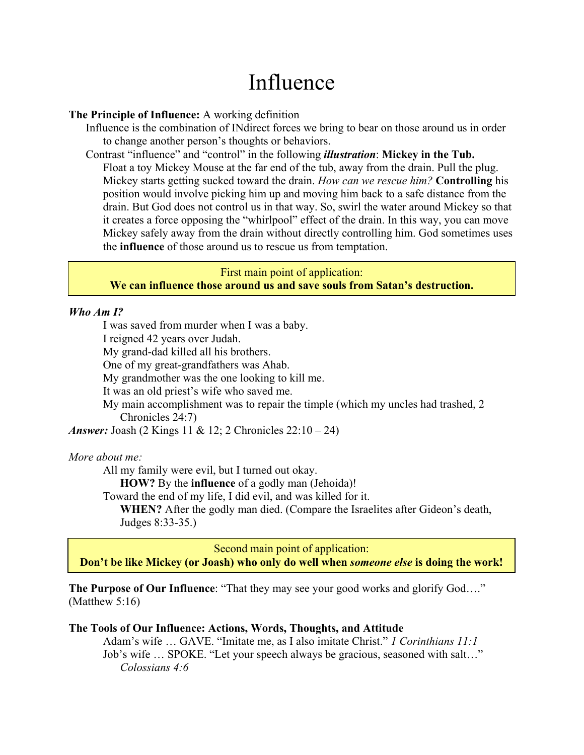# Influence

#### **The Principle of Influence:** A working definition

Influence is the combination of INdirect forces we bring to bear on those around us in order to change another person's thoughts or behaviors.

Contrast "influence" and "control" in the following *illustration*: **Mickey in the Tub.**

Float a toy Mickey Mouse at the far end of the tub, away from the drain. Pull the plug. Mickey starts getting sucked toward the drain. *How can we rescue him?* **Controlling** his position would involve picking him up and moving him back to a safe distance from the drain. But God does not control us in that way. So, swirl the water around Mickey so that it creates a force opposing the "whirlpool" effect of the drain. In this way, you can move Mickey safely away from the drain without directly controlling him. God sometimes uses the **influence** of those around us to rescue us from temptation.

# First main point of application: **We can influence those around us and save souls from Satan's destruction.**

## *Who Am I?*

I was saved from murder when I was a baby.

I reigned 42 years over Judah.

My grand-dad killed all his brothers.

One of my great-grandfathers was Ahab.

My grandmother was the one looking to kill me.

It was an old priest's wife who saved me.

My main accomplishment was to repair the timple (which my uncles had trashed, 2 Chronicles 24:7)

*Answer:* Joash (2 Kings 11 & 12; 2 Chronicles 22:10 – 24)

#### *More about me:*

All my family were evil, but I turned out okay.

**HOW?** By the **influence** of a godly man (Jehoida)!

Toward the end of my life, I did evil, and was killed for it.

**WHEN?** After the godly man died. (Compare the Israelites after Gideon's death, Judges 8:33-35.)

Second main point of application:

**Don't be like Mickey (or Joash) who only do well when** *someone else* **is doing the work!**

**The Purpose of Our Influence:** "That they may see your good works and glorify God...." (Matthew 5:16)

#### **The Tools of Our Influence: Actions, Words, Thoughts, and Attitude**

Adam's wife … GAVE. "Imitate me, as I also imitate Christ." *1 Corinthians 11:1*  Job's wife … SPOKE. "Let your speech always be gracious, seasoned with salt…" *Colossians 4:6*